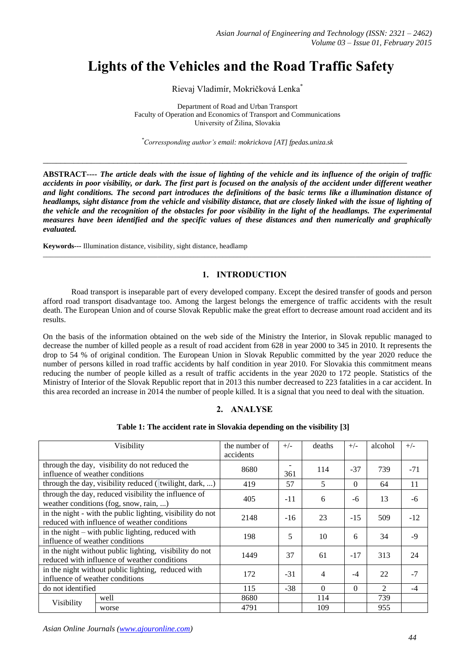# **Lights of the Vehicles and the Road Traffic Safety**

Rievaj Vladimír, Mokričková Lenka\*

Department of Road and Urban Transport Faculty of Operation and Economics of Transport and Communications University of Žilina, Slovakia

*\*Corressponding author's email: mokrickova [AT] fpedas.uniza.sk*

\_\_\_\_\_\_\_\_\_\_\_\_\_\_\_\_\_\_\_\_\_\_\_\_\_\_\_\_\_\_\_\_\_\_\_\_\_\_\_\_\_\_\_\_\_\_\_\_\_\_\_\_\_\_\_\_\_\_\_\_\_\_\_\_\_\_\_\_\_\_\_\_\_\_\_\_\_\_\_\_\_\_\_

**ABSTRACT----** *The article deals with the issue of lighting of the vehicle and its influence of the origin of traffic accidents in poor visibility, or dark. The first part is focused on the analysis of the accident under different weather and light conditions. The second part introduces the definitions of the basic terms like a illumination distance of headlamps, sight distance from the vehicle and visibility distance, that are closely linked with the issue of lighting of the vehicle and the recognition of the obstacles for poor visibility in the light of the headlamps. The experimental measures have been identified and the specific values of these distances and then numerically and graphically evaluated.*

**Keywords---** Illumination distance, visibility, sight distance, headlamp

# **1. INTRODUCTION**

Road transport is inseparable part of every developed company. Except the desired transfer of goods and person afford road transport disadvantage too. Among the largest belongs the emergence of traffic accidents with the result death. The European Union and of course Slovak Republic make the great effort to decrease amount road accident and its results.

\_\_\_\_\_\_\_\_\_\_\_\_\_\_\_\_\_\_\_\_\_\_\_\_\_\_\_\_\_\_\_\_\_\_\_\_\_\_\_\_\_\_\_\_\_\_\_\_\_\_\_\_\_\_\_\_\_\_\_\_\_\_\_\_\_\_\_\_\_\_\_\_\_\_\_\_\_\_\_\_\_\_\_\_\_\_\_\_\_\_\_\_\_\_\_\_\_\_\_\_\_\_\_\_\_\_\_\_

On the basis of the information obtained on the web side of the Ministry the Interior, in Slovak republic managed to decrease the number of killed people as a result of road accident from 628 in year 2000 to 345 in 2010. It represents the drop to 54 % of original condition. The European Union in Slovak Republic committed by the year 2020 reduce the number of persons killed in road traffic accidents by half condition in year 2010. For Slovakia this commitment means reducing the number of people killed as a result of traffic accidents in the year 2020 to 172 people. Statistics of the Ministry of Interior of the Slovak Republic report that in 2013 this number decreased to 223 fatalities in a car accident. In this area recorded an increase in 2014 the number of people killed. It is a signal that you need to deal with the situation.

## **2. ANALYSE**

## **Table 1: The accident rate in Slovakia depending on the visibility [3]**

| Visibility                                                                                                 |       | the number of | $+/-$ | deaths   | $+/-$    | alcohol                     | $+/-$ |
|------------------------------------------------------------------------------------------------------------|-------|---------------|-------|----------|----------|-----------------------------|-------|
|                                                                                                            |       | accidents     |       |          |          |                             |       |
| through the day, visibility do not reduced the<br>influence of weather conditions                          |       | 8680          |       | 114      | $-37$    | 739                         | $-71$ |
|                                                                                                            |       |               | 361   |          |          |                             |       |
| through the day, visibility reduced (twilight, dark, )                                                     |       | 419           | 57    | 5        | $\Omega$ | 64                          | 11    |
| through the day, reduced visibility the influence of<br>weather conditions (fog, snow, rain, )             |       | 405           | $-11$ | 6        | -6       | 13                          | -6    |
| in the night - with the public lighting, visibility do not<br>reduced with influence of weather conditions |       | 2148          | $-16$ | 23       | $-15$    | 509                         | $-12$ |
| in the night – with public lighting, reduced with<br>influence of weather conditions                       |       | 198           | 5     | 10       | 6        | 34                          | $-9$  |
| in the night without public lighting, visibility do not<br>reduced with influence of weather conditions    |       | 1449          | 37    | 61       | $-17$    | 313                         | 24    |
| in the night without public lighting, reduced with<br>influence of weather conditions                      |       | 172           | $-31$ | 4        | $-4$     | 22                          | $-7$  |
| do not identified                                                                                          |       | 115           | $-38$ | $\Omega$ | $\Omega$ | $\mathcal{D}_{\mathcal{L}}$ | $-4$  |
| Visibility                                                                                                 | well  | 8680          |       | 114      |          | 739                         |       |
|                                                                                                            | worse | 4791          |       | 109      |          | 955                         |       |

*Asian Online Journals (www.ajouronline.com)*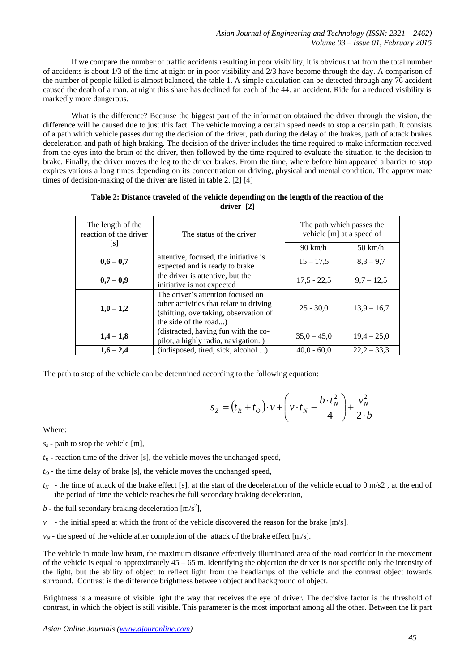If we compare the number of traffic accidents resulting in poor visibility, it is obvious that from the total number of accidents is about 1/3 of the time at night or in poor visibility and 2/3 have become through the day. A comparison of the number of people killed is almost balanced, the table 1. A simple calculation can be detected through any 76 accident caused the death of a man, at night this share has declined for each of the 44. an accident. Ride for a reduced visibility is markedly more dangerous.

What is the difference? Because the biggest part of the information obtained the driver through the vision, the difference will be caused due to just this fact. The vehicle moving a certain speed needs to stop a certain path. It consists of a path which vehicle passes during the decision of the driver, path during the delay of the brakes, path of attack brakes deceleration and path of high braking. The decision of the driver includes the time required to make information received from the eyes into the brain of the driver, then followed by the time required to evaluate the situation to the decision to brake. Finally, the driver moves the leg to the driver brakes. From the time, where before him appeared a barrier to stop expires various a long times depending on its concentration on driving, physical and mental condition. The approximate times of decision-making of the driver are listed in table 2. [2] [4]

| Table 2: Distance traveled of the vehicle depending on the length of the reaction of the |
|------------------------------------------------------------------------------------------|
| driver [2]                                                                               |

| The length of the<br>reaction of the driver                                                                                                                 | The status of the driver                                                   | The path which passes the<br>vehicle [m] at a speed of |                   |  |
|-------------------------------------------------------------------------------------------------------------------------------------------------------------|----------------------------------------------------------------------------|--------------------------------------------------------|-------------------|--|
| $\lceil s \rceil$                                                                                                                                           |                                                                            | $90 \text{ km/h}$                                      | $50 \text{ km/h}$ |  |
| $0,6 - 0,7$                                                                                                                                                 | attentive, focused, the initiative is<br>expected and is ready to brake    | $15 - 17,5$                                            | $8,3 - 9,7$       |  |
| $0,7-0,9$                                                                                                                                                   | the driver is attentive, but the<br>initiative is not expected             | $17,5 - 22,5$                                          | $9.7 - 12.5$      |  |
| The driver's attention focused on<br>other activities that relate to driving<br>$1,0-1,2$<br>(shifting, overtaking, observation of<br>the side of the road) |                                                                            | $25 - 30.0$                                            | $13,9 - 16,7$     |  |
| $1,4-1,8$                                                                                                                                                   | (distracted, having fun with the co-<br>pilot, a highly radio, navigation) | $35,0 - 45,0$                                          | $19.4 - 25.0$     |  |
| $1,6 - 2,4$                                                                                                                                                 | (indisposed, tired, sick, alcohol )                                        | $40.0 - 60.0$                                          | $22.2 - 33.3$     |  |

The path to stop of the vehicle can be determined according to the following equation:

$$
s_Z = (t_R + t_O) \cdot v + \left(v \cdot t_N - \frac{b \cdot t_N^2}{4}\right) + \frac{v_N^2}{2 \cdot b}
$$

Where:

- $s_z$  path to stop the vehicle [m],
- $t_R$  reaction time of the driver [s], the vehicle moves the unchanged speed,
- $t_0$  the time delay of brake [s], the vehicle moves the unchanged speed,
- $t_N$  the time of attack of the brake effect [s], at the start of the deceleration of the vehicle equal to 0 m/s2, at the end of the period of time the vehicle reaches the full secondary braking deceleration,
- $b$  the full secondary braking deceleration  $[m/s^2]$ ,
- $\nu$  the initial speed at which the front of the vehicle discovered the reason for the brake  $[m/s]$ ,
- $v_N$  the speed of the vehicle after completion of the attack of the brake effect [m/s].

The vehicle in mode low beam, the maximum distance effectively illuminated area of the road corridor in the movement of the vehicle is equal to approximately  $45 - 65$  m. Identifying the objection the driver is not specific only the intensity of the light, but the ability of object to reflect light from the headlamps of the vehicle and the contrast object towards surround. Contrast is the difference brightness between object and background of object.

Brightness is a measure of visible light the way that receives the eye of driver. The decisive factor is the threshold of contrast, in which the object is still visible. This parameter is the most important among all the other. Between the lit part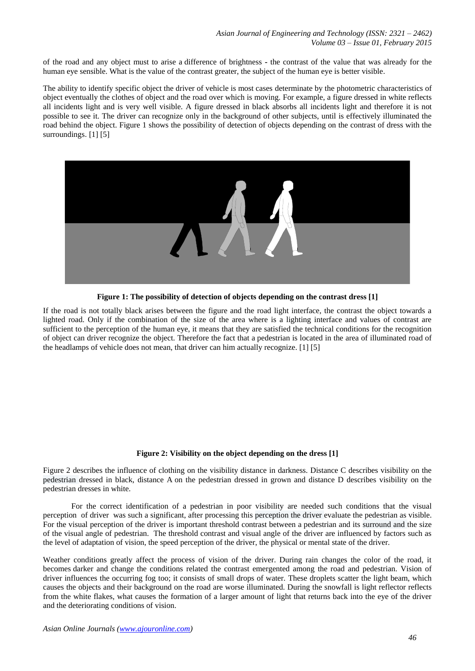of the road and any object must to arise a difference of brightness **-** the contrast of the value that was already for the human eye sensible. What is the value of the contrast greater, the subject of the human eye is better visible.

The ability to identify specific object the driver of vehicle is most cases determinate by the photometric characteristics of object eventually the clothes of object and the road over which is moving. For example, a figure dressed in white reflects all incidents light and is very well visible. A figure dressed in black absorbs all incidents light and therefore it is not possible to see it. The driver can recognize only in the background of other subjects, until is effectively illuminated the road behind the object. Figure 1 shows the possibility of detection of objects depending on the contrast of dress with the surroundings. [1] [5]



**Figure 1: The possibility of detection of objects depending on the contrast dress [1]**

If the road is not totally black arises between the figure and the road light interface, the contrast the object towards a lighted road. Only if the combination of the size of the area where is a lighting interface and values of contrast are sufficient to the perception of the human eye, it means that they are satisfied the technical conditions for the recognition of object can driver recognize the object. Therefore the fact that a pedestrian is located in the area of illuminated road of the headlamps of vehicle does not mean, that driver can him actually recognize. [1] [5]

## **Figure 2: Visibility on the object depending on the dress [1]**

Figure 2 describes the influence of clothing on the visibility distance in darkness. Distance C describes visibility on the pedestrian dressed in black, distance A on the pedestrian dressed in grown and distance D describes visibility on the pedestrian dresses in white.

For the correct identification of a pedestrian in poor visibility are needed such conditions that the visual perception of driver was such a significant, after processing this perception the driver evaluate the pedestrian as visible. For the visual perception of the driver is important threshold contrast between a pedestrian and its surround and the size of the visual angle of pedestrian. The threshold contrast and visual angle of the driver are influenced by factors such as the level of adaptation of vision, the speed perception of the driver, the physical or mental state of the driver. A old contrast and visu-

Weather conditions greatly affect the process of vision of the driver. During rain changes the color of the road, it becomes darker and change the conditions related the contrast emergented among the road and pedestrian. Vision of driver influences the occurring fog too; it consists of small drops of water. These droplets scatter the light beam, which causes the objects and their background on the road are worse illuminated. During the snowfall is light reflector reflects from the white flakes, what causes the formation of a larger amount of light that returns back into the eye of the driver and the deteriorating conditions of vision.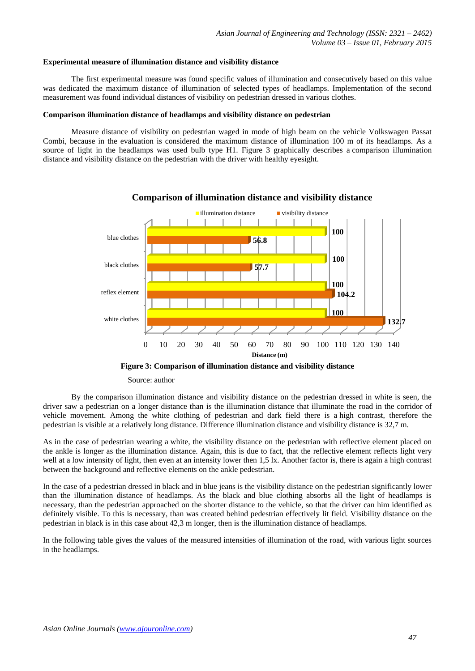#### **Experimental measure of illumination distance and visibility distance**

The first experimental measure was found specific values of illumination and consecutively based on this value was dedicated the maximum distance of illumination of selected types of headlamps. Implementation of the second measurement was found individual distances of visibility on pedestrian dressed in various clothes.

#### **Comparison illumination distance of headlamps and visibility distance on pedestrian**

Measure distance of visibility on pedestrian waged in mode of high beam on the vehicle Volkswagen Passat Combi, because in the evaluation is considered the maximum distance of illumination 100 m of its headlamps. As a source of light in the headlamps was used bulb type H1. Figure 3 graphically describes a comparison illumination distance and visibility distance on the pedestrian with the driver with healthy eyesight.



## **Comparison of illumination distance and visibility distance**

**Figure 3: Comparison of illumination distance and visibility distance**

#### Source: author

By the comparison illumination distance and visibility distance on the pedestrian dressed in white is seen, the driver saw a pedestrian on a longer distance than is the illumination distance that illuminate the road in the corridor of vehicle movement. Among the white clothing of pedestrian and dark field there is a high contrast, therefore the pedestrian is visible at a relatively long distance. Difference illumination distance and visibility distance is 32,7 m.

As in the case of pedestrian wearing a white, the visibility distance on the pedestrian with reflective element placed on the ankle is longer as the illumination distance. Again, this is due to fact, that the reflective element reflects light very well at a low intensity of light, then even at an intensity lower then 1,5 lx. Another factor is, there is again a high contrast between the background and reflective elements on the ankle pedestrian.

In the case of a pedestrian dressed in black and in blue jeans is the visibility distance on the pedestrian significantly lower than the illumination distance of headlamps. As the black and blue clothing absorbs all the light of headlamps is necessary, than the pedestrian approached on the shorter distance to the vehicle, so that the driver can him identified as definitely visible. To this is necessary, than was created behind pedestrian effectively lit field. Visibility distance on the pedestrian in black is in this case about 42,3 m longer, then is the illumination distance of headlamps.

In the following table gives the values of the measured intensities of illumination of the road, with various light sources in the headlamps.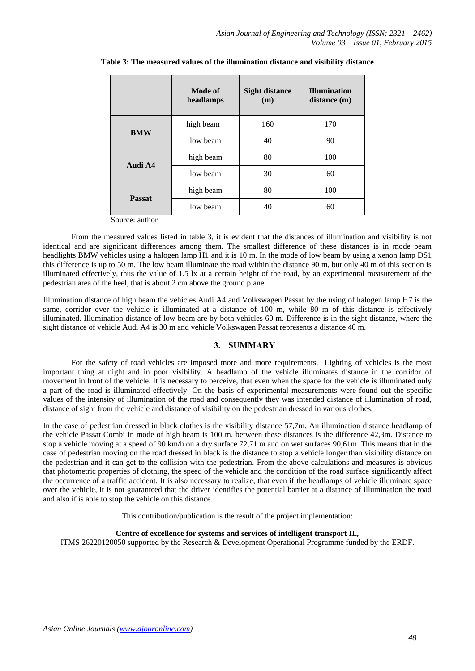|               | Mode of<br>headlamps | <b>Sight distance</b><br>(m) | <b>Illumination</b><br>distance (m) |
|---------------|----------------------|------------------------------|-------------------------------------|
| <b>BMW</b>    | high beam            | 160                          | 170                                 |
|               | low beam             | 40                           | 90                                  |
| Audi A4       | high beam            | 80                           | 100                                 |
|               | low beam             | 30                           | 60                                  |
| <b>Passat</b> | high beam            | 80                           | 100                                 |
|               | low beam             | 40                           | 60                                  |

## **Table 3: The measured values of the illumination distance and visibility distance**

Source: author

From the measured values listed in table 3, it is evident that the distances of illumination and visibility is not identical and are significant differences among them. The smallest difference of these distances is in mode beam headlights BMW vehicles using a halogen lamp H1 and it is 10 m. In the mode of low beam by using a xenon lamp DS1 this difference is up to 50 m. The low beam illuminate the road within the distance 90 m, but only 40 m of this section is illuminated effectively, thus the value of 1.5 lx at a certain height of the road, by an experimental measurement of the pedestrian area of the heel, that is about 2 cm above the ground plane.

Illumination distance of high beam the vehicles Audi A4 and Volkswagen Passat by the using of halogen lamp H7 is the same, corridor over the vehicle is illuminated at a distance of 100 m, while 80 m of this distance is effectively illuminated. Illumination distance of low beam are by both vehicles 60 m. Difference is in the sight distance, where the sight distance of vehicle Audi A4 is 30 m and vehicle Volkswagen Passat represents a distance 40 m.

## **3. SUMMARY**

For the safety of road vehicles are imposed more and more requirements. Lighting of vehicles is the most important thing at night and in poor visibility. A headlamp of the vehicle illuminates distance in the corridor of movement in front of the vehicle. It is necessary to perceive, that even when the space for the vehicle is illuminated only a part of the road is illuminated effectively. On the basis of experimental measurements were found out the specific values of the intensity of illumination of the road and consequently they was intended distance of illumination of road, distance of sight from the vehicle and distance of visibility on the pedestrian dressed in various clothes.

In the case of pedestrian dressed in black clothes is the visibility distance 57,7m. An illumination distance headlamp of the vehicle Passat Combi in mode of high beam is 100 m. between these distances is the difference 42,3m. Distance to stop a vehicle moving at a speed of 90 km/h on a dry surface 72,71 m and on wet surfaces 90,61m. This means that in the case of pedestrian moving on the road dressed in black is the distance to stop a vehicle longer than visibility distance on the pedestrian and it can get to the collision with the pedestrian. From the above calculations and measures is obvious that photometric properties of clothing, the speed of the vehicle and the condition of the road surface significantly affect the occurrence of a traffic accident. It is also necessary to realize, that even if the headlamps of vehicle illuminate space over the vehicle, it is not guaranteed that the driver identifies the potential barrier at a distance of illumination the road and also if is able to stop the vehicle on this distance.

This contribution/publication is the result of the project implementation:

## **Centre of excellence for systems and services of intelligent transport II.***,*

ITMS 26220120050 supported by the Research & Development Operational Programme funded by the ERDF.